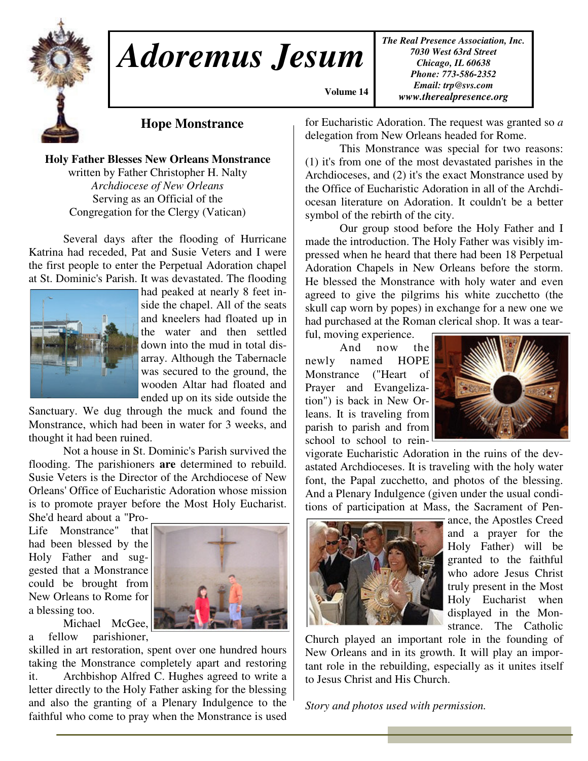

# *Adoremus Jesum*

*The Real Presence Association, Inc. 7030 West 63rd Street Chicago, IL 60638 Phone: 773-586-2352 Email: trp@svs.com www.therealpresence.org*

**Hope Monstrance**

**Holy Father Blesses New Orleans Monstrance** written by Father Christopher H. Nalty *Archdiocese of New Orleans* Serving as an Official of the Congregation for the Clergy (Vatican)

Several days after the flooding of Hurricane Katrina had receded, Pat and Susie Veters and I were the first people to enter the Perpetual Adoration chapel at St. Dominic's Parish. It was devastated. The flooding



had peaked at nearly 8 feet inside the chapel. All of the seats and kneelers had floated up in the water and then settled down into the mud in total disarray. Although the Tabernacle was secured to the ground, the wooden Altar had floated and ended up on its side outside the

Sanctuary. We dug through the muck and found the Monstrance, which had been in water for 3 weeks, and thought it had been ruined.

Not a house in St. Dominic's Parish survived the flooding. The parishioners **are** determined to rebuild. Susie Veters is the Director of the Archdiocese of New Orleans' Office of Eucharistic Adoration whose mission is to promote prayer before the Most Holy Eucharist.

She'd heard about a "Pro-Life Monstrance" that had been blessed by the Holy Father and suggested that a Monstrance could be brought from New Orleans to Rome for a blessing too.

Michael McGee, a fellow parishioner,

skilled in art restoration, spent over one hundred hours taking the Monstrance completely apart and restoring it. Archbishop Alfred C. Hughes agreed to write a letter directly to the Holy Father asking for the blessing and also the granting of a Plenary Indulgence to the faithful who come to pray when the Monstrance is used

for Eucharistic Adoration. The request was granted so *a* delegation from New Orleans headed for Rome.

This Monstrance was special for two reasons: (1) it's from one of the most devastated parishes in the Archdioceses, and (2) it's the exact Monstrance used by the Office of Eucharistic Adoration in all of the Archdiocesan literature on Adoration. It couldn't be a better symbol of the rebirth of the city.

Our group stood before the Holy Father and I made the introduction. The Holy Father was visibly impressed when he heard that there had been 18 Perpetual Adoration Chapels in New Orleans before the storm. He blessed the Monstrance with holy water and even agreed to give the pilgrims his white zucchetto (the skull cap worn by popes) in exchange for a new one we had purchased at the Roman clerical shop. It was a tear-

ful, moving experience.

**Volume 14,**

And now the newly named HOPE Monstrance ("Heart of Prayer and Evangelization") is back in New Orleans. It is traveling from parish to parish and from school to school to rein-



vigorate Eucharistic Adoration in the ruins of the devastated Archdioceses. It is traveling with the holy water font, the Papal zucchetto, and photos of the blessing. And a Plenary Indulgence (given under the usual conditions of participation at Mass, the Sacrament of Pen-



ance, the Apostles Creed and a prayer for the Holy Father) will be granted to the faithful who adore Jesus Christ truly present in the Most Holy Eucharist when displayed in the Monstrance. The Catholic

Church played an important role in the founding of New Orleans and in its growth. It will play an important role in the rebuilding, especially as it unites itself to Jesus Christ and His Church.

*Story and photos used with permission.*